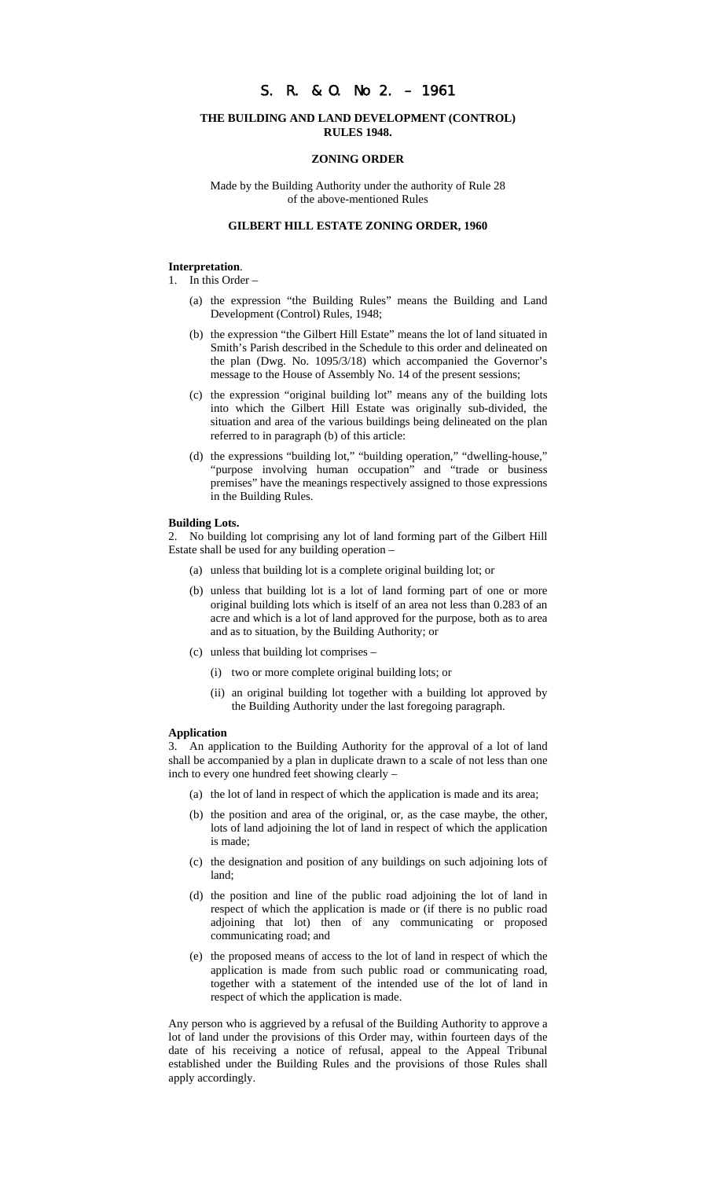# S. R. & O. No 2. – 1961

## **THE BUILDING AND LAND DEVELOPMENT (CONTROL) RULES 1948.**

## **ZONING ORDER**

Made by the Building Authority under the authority of Rule 28 of the above-mentioned Rules

# **GILBERT HILL ESTATE ZONING ORDER, 1960**

## **Interpretation**.

- 1. In this Order
	- (a) the expression "the Building Rules" means the Building and Land Development (Control) Rules, 1948;
	- (b) the expression "the Gilbert Hill Estate" means the lot of land situated in Smith's Parish described in the Schedule to this order and delineated on the plan (Dwg. No. 1095/3/18) which accompanied the Governor's message to the House of Assembly No. 14 of the present sessions;
	- (c) the expression "original building lot" means any of the building lots into which the Gilbert Hill Estate was originally sub-divided, the situation and area of the various buildings being delineated on the plan referred to in paragraph (b) of this article:
	- (d) the expressions "building lot," "building operation," "dwelling-house," "purpose involving human occupation" and "trade or business premises" have the meanings respectively assigned to those expressions in the Building Rules.

#### **Building Lots.**

2. No building lot comprising any lot of land forming part of the Gilbert Hill Estate shall be used for any building operation –

- (a) unless that building lot is a complete original building lot; or
- (b) unless that building lot is a lot of land forming part of one or more original building lots which is itself of an area not less than 0.283 of an acre and which is a lot of land approved for the purpose, both as to area and as to situation, by the Building Authority; or
- (c) unless that building lot comprises
	- (i) two or more complete original building lots; or
	- (ii) an original building lot together with a building lot approved by the Building Authority under the last foregoing paragraph.

# **Application**

3. An application to the Building Authority for the approval of a lot of land shall be accompanied by a plan in duplicate drawn to a scale of not less than one inch to every one hundred feet showing clearly –

- (a) the lot of land in respect of which the application is made and its area;
- (b) the position and area of the original, or, as the case maybe, the other, lots of land adjoining the lot of land in respect of which the application is made;
- (c) the designation and position of any buildings on such adjoining lots of land;
- (d) the position and line of the public road adjoining the lot of land in respect of which the application is made or (if there is no public road adjoining that lot) then of any communicating or proposed communicating road; and
- (e) the proposed means of access to the lot of land in respect of which the application is made from such public road or communicating road, together with a statement of the intended use of the lot of land in respect of which the application is made.

Any person who is aggrieved by a refusal of the Building Authority to approve a lot of land under the provisions of this Order may, within fourteen days of the date of his receiving a notice of refusal, appeal to the Appeal Tribunal established under the Building Rules and the provisions of those Rules shall apply accordingly.